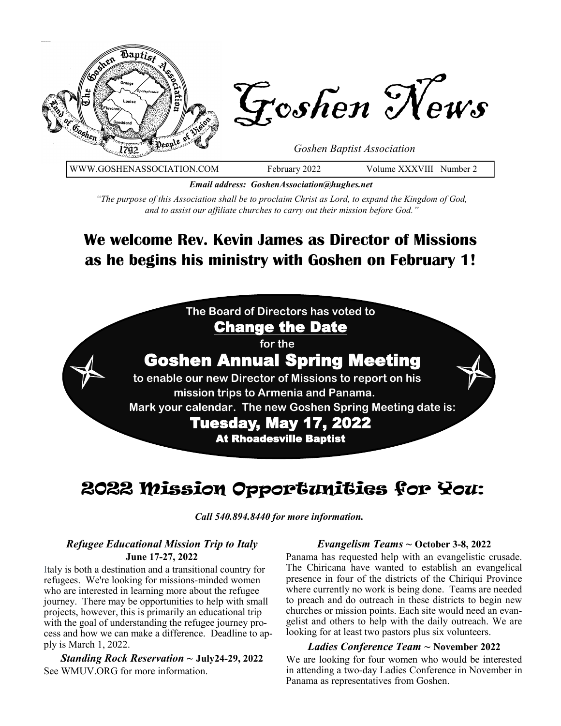

WWW.GOSHENASSOCIATION.COM February 2022 Volume XXXVIII Number 2

*Email address: GoshenAssociation@hughes.net*

*"The purpose of this Association shall be to proclaim Christ as Lord, to expand the Kingdom of God, and to assist our affiliate churches to carry out their mission before God."*

## **We welcome Rev. Kevin James as Director of Missions as he begins his ministry with Goshen on February 1!**

**The Board of Directors has voted to**  Change the Date

**for the** 

## Goshen Annual Spring Meeting

**to enable our new Director of Missions to report on his mission trips to Armenia and Panama. Mark your calendar. The new Goshen Spring Meeting date is:** Tuesday, May 17, 2022 At Rhoadesville Baptist

## 2022 Mission Opportunities for You:

*Call 540.894.8440 for more information.*

#### *Refugee Educational Mission Trip to Italy*  **June 17-27, 2022**

Italy is both a destination and a transitional country for refugees. We're looking for missions-minded women who are interested in learning more about the refugee journey. There may be opportunities to help with small projects, however, this is primarily an educational trip with the goal of understanding the refugee journey process and how we can make a difference. Deadline to apply is March 1, 2022.

*Standing Rock Reservation ~* **July24-29, 2022** See WMUV.ORG for more information.

#### *Evangelism Teams ~* **October 3-8, 2022**

Panama has requested help with an evangelistic crusade. The Chiricana have wanted to establish an evangelical presence in four of the districts of the Chiriqui Province where currently no work is being done. Teams are needed to preach and do outreach in these districts to begin new churches or mission points. Each site would need an evangelist and others to help with the daily outreach. We are looking for at least two pastors plus six volunteers.

#### *Ladies Conference Team ~* **November 2022**

We are looking for four women who would be interested in attending a two-day Ladies Conference in November in Panama as representatives from Goshen.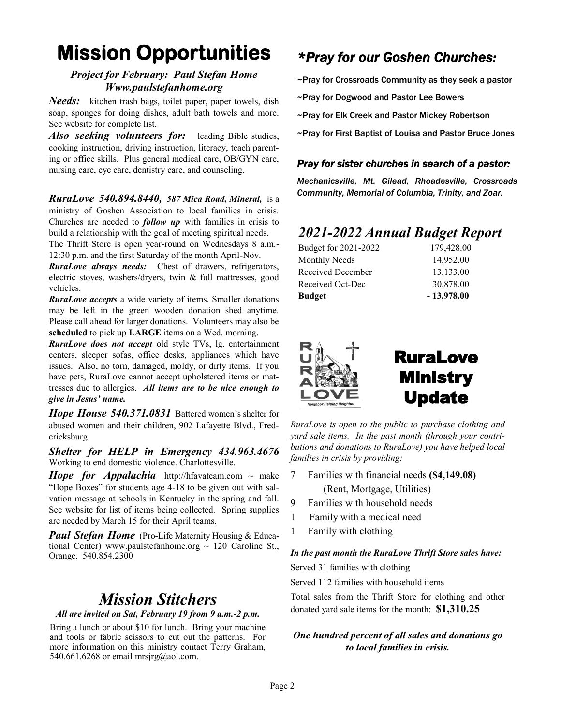# **Mission Opportunities**

#### *Project for February: Paul Stefan Home Www.paulstefanhome.org*

*Needs:* kitchen trash bags, toilet paper, paper towels, dish soap, sponges for doing dishes, adult bath towels and more. See website for complete list.

*Also seeking volunteers for:* leading Bible studies, cooking instruction, driving instruction, literacy, teach parenting or office skills. Plus general medical care, OB/GYN care, nursing care, eye care, dentistry care, and counseling.

*RuraLove 540.894.8440, 587 Mica Road, Mineral,* is a ministry of Goshen Association to local families in crisis. Churches are needed to *follow up* with families in crisis to build a relationship with the goal of meeting spiritual needs. The Thrift Store is open year-round on Wednesdays 8 a.m.-

12:30 p.m. and the first Saturday of the month April-Nov. *RuraLove always needs:* Chest of drawers, refrigerators,

electric stoves, washers/dryers, twin & full mattresses, good vehicles.

*RuraLove accepts* a wide variety of items. Smaller donations may be left in the green wooden donation shed anytime. Please call ahead for larger donations. Volunteers may also be **scheduled** to pick up **LARGE** items on a Wed. morning.

*RuraLove does not accept* old style TVs, lg. entertainment centers, sleeper sofas, office desks, appliances which have issues. Also, no torn, damaged, moldy, or dirty items. If you have pets, RuraLove cannot accept upholstered items or mattresses due to allergies. *All items are to be nice enough to give in Jesus' name.* 

*Hope House 540.371.0831* Battered women's shelter for abused women and their children, 902 Lafayette Blvd., Fredericksburg

*Shelter for HELP in Emergency 434.963.4676*  Working to end domestic violence. Charlottesville.

*Hope for Appalachia* http://hfavateam.com ~ make "Hope Boxes" for students age 4-18 to be given out with salvation message at schools in Kentucky in the spring and fall. See website for list of items being collected*.* Spring supplies are needed by March 15 for their April teams.

*Paul Stefan Home* (Pro-Life Maternity Housing & Educational Center) www.paulstefanhome.org  $\sim$  120 Caroline St., Orange. 540.854.2300

### *Mission Stitchers*

*All are invited on Sat, February 19 from 9 a.m.-2 p.m.* 

Bring a lunch or about \$10 for lunch. Bring your machine and tools or fabric scissors to cut out the patterns. For more information on this ministry contact Terry Graham, 540.661.6268 or email mrsjrg@aol.com.

## *\*Pray for our Goshen Churches:*

- ~Pray for Crossroads Community as they seek a pastor
- ~Pray for Dogwood and Pastor Lee Bowers
- ~Pray for Elk Creek and Pastor Mickey Robertson
- ~Pray for First Baptist of Louisa and Pastor Bruce Jones

#### *Pray for sister churches in search of a pastor:*

*Mechanicsville, Mt. Gilead, Rhoadesville, Crossroads Community, Memorial of Columbia, Trinity, and Zoar.*

### *2021-2022 Annual Budget Report*

| Budget               | $-13,978.00$ |
|----------------------|--------------|
| Received Oct-Dec     | 30,878.00    |
| Received December    | 13,133.00    |
| Monthly Needs        | 14,952.00    |
| Budget for 2021-2022 | 179,428.00   |



*RuraLove is open to the public to purchase clothing and yard sale items. In the past month (through your contributions and donations to RuraLove) you have helped local families in crisis by providing:*

- 7 Families with financial needs **(\$4,149.08)** (Rent, Mortgage, Utilities)
- 9 Families with household needs
- 1 Family with a medical need
- 1 Family with clothing

#### *In the past month the RuraLove Thrift Store sales have:*

Served 31 families with clothing

Served 112 families with household items

Total sales from the Thrift Store for clothing and other donated yard sale items for the month: **\$1,310.25**

#### *One hundred percent of all sales and donations go to local families in crisis.*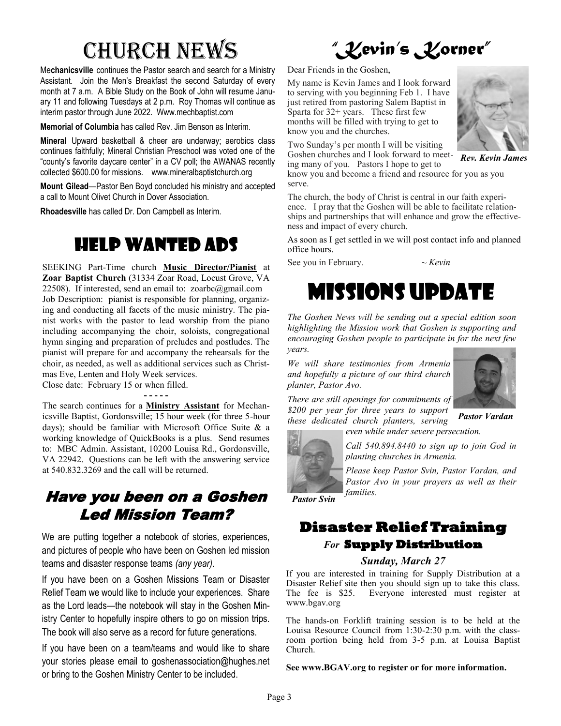# Church News

Me**chanicsville** continues the Pastor search and search for a Ministry Assistant. Join the Men's Breakfast the second Saturday of every month at 7 a.m. A Bible Study on the Book of John will resume January 11 and following Tuesdays at 2 p.m. Roy Thomas will continue as interim pastor through June 2022. Www.mechbaptist.com

**Memorial of Columbia** has called Rev. Jim Benson as Interim.

**Mineral** Upward basketball & cheer are underway; aerobics class continues faithfully; Mineral Christian Preschool was voted one of the "county's favorite daycare center" in a CV poll; the AWANAS recently collected \$600.00 for missions. www.mineralbaptistchurch.org

**Mount Gilead**—Pastor Ben Boyd concluded his ministry and accepted a call to Mount Olivet Church in Dover Association.

**Rhoadesville** has called Dr. Don Campbell as Interim.

## Help Wanted Ads

SEEKING Part-Time church **Music Director/Pianist** at **Zoar Baptist Church** (31334 Zoar Road, Locust Grove, VA 22508). If interested, send an email to:  $zoarbc(\omega gmail.com)$ Job Description: pianist is responsible for planning, organizing and conducting all facets of the music ministry. The pianist works with the pastor to lead worship from the piano including accompanying the choir, soloists, congregational hymn singing and preparation of preludes and postludes. The pianist will prepare for and accompany the rehearsals for the choir, as needed, as well as additional services such as Christmas Eve, Lenten and Holy Week services.

Close date: February 15 or when filled.

**- - - - -**

The search continues for a **Ministry Assistant** for Mechanicsville Baptist, Gordonsville; 15 hour week (for three 5-hour days); should be familiar with Microsoft Office Suite & a working knowledge of QuickBooks is a plus. Send resumes to: MBC Admin. Assistant, 10200 Louisa Rd., Gordonsville, VA 22942. Questions can be left with the answering service at 540.832.3269 and the call will be returned.

### Have you been on a Goshen Led Mission Team?

We are putting together a notebook of stories, experiences, and pictures of people who have been on Goshen led mission teams and disaster response teams *(any year)*.

If you have been on a Goshen Missions Team or Disaster Relief Team we would like to include your experiences. Share as the Lord leads—the notebook will stay in the Goshen Ministry Center to hopefully inspire others to go on mission trips. The book will also serve as a record for future generations.

If you have been on a team/teams and would like to share your stories please email to goshenassociation@hughes.net or bring to the Goshen Ministry Center to be included.

*"Kevin's Korner"*

Dear Friends in the Goshen,

My name is Kevin James and I look forward to serving with you beginning Feb 1. I have just retired from pastoring Salem Baptist in Sparta for  $32+$  years. These first few months will be filled with trying to get to know you and the churches.

Two Sunday's per month I will be visiting Goshen churches and I look forward to meet-

ing many of you. Pastors I hope to get to know you and become a friend and resource for you as you serve.

The church, the body of Christ is central in our faith experience. I pray that the Goshen will be able to facilitate relationships and partnerships that will enhance and grow the effectiveness and impact of every church.

As soon as I get settled in we will post contact info and planned office hours.

See you in February. *~ Kevin*

# Missions Update

*The Goshen News will be sending out a special edition soon highlighting the Mission work that Goshen is supporting and encouraging Goshen people to participate in for the next few years.* 

*We will share testimonies from Armenia and hopefully a picture of our third church planter, Pastor Avo.* 



*There are still openings for commitments of \$200 per year for three years to support these dedicated church planters, serving* 

*Pastor Vardan* 



*Call 540.894.8440 to sign up to join God in planting churches in Armenia.* 

*even while under severe persecution.* 

*Please keep Pastor Svin, Pastor Vardan, and Pastor Avo in your prayers as well as their families.*

*Pastor Svin*

## **Disaster Relief Training**  *For* **Supply Distribution**

#### *Sunday, March 27*

If you are interested in training for Supply Distribution at a Disaster Relief site then you should sign up to take this class. The fee is \$25. Everyone interested must register at www.bgav.org

The hands-on Forklift training session is to be held at the Louisa Resource Council from 1:30-2:30 p.m. with the classroom portion being held from 3-5 p.m. at Louisa Baptist Church.

**See www.BGAV.org to register or for more information.**